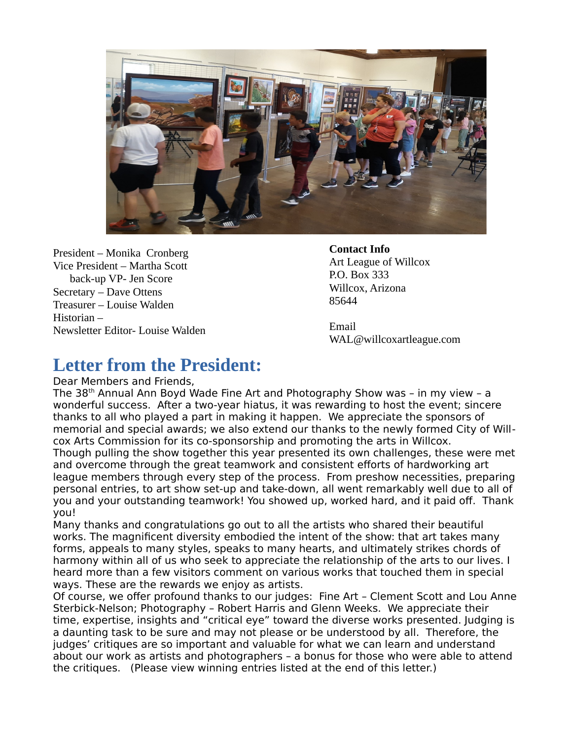

President – Monika Cronberg Vice President – Martha Scott back-up VP- Jen Score Secretary – Dave Ottens Treasurer – Louise Walden Historian – Newsletter Editor- Louise Walden

#### **Contact Info**

Art League of Willcox P.O. Box 333 Willcox, Arizona 85644

Email WAL@willcoxartleague.com

## **Letter from the President:**

Dear Members and Friends,

The 38th Annual Ann Boyd Wade Fine Art and Photography Show was – in my view – a wonderful success. After a two-year hiatus, it was rewarding to host the event; sincere thanks to all who played a part in making it happen. We appreciate the sponsors of memorial and special awards; we also extend our thanks to the newly formed City of Willcox Arts Commission for its co-sponsorship and promoting the arts in Willcox. Though pulling the show together this year presented its own challenges, these were met and overcome through the great teamwork and consistent efforts of hardworking art league members through every step of the process. From preshow necessities, preparing personal entries, to art show set-up and take-down, all went remarkably well due to all of you and your outstanding teamwork! You showed up, worked hard, and it paid off. Thank you!

Many thanks and congratulations go out to all the artists who shared their beautiful works. The magnificent diversity embodied the intent of the show: that art takes many forms, appeals to many styles, speaks to many hearts, and ultimately strikes chords of harmony within all of us who seek to appreciate the relationship of the arts to our lives. I heard more than a few visitors comment on various works that touched them in special ways. These are the rewards we enjoy as artists.

Of course, we offer profound thanks to our judges: Fine Art – Clement Scott and Lou Anne Sterbick-Nelson; Photography – Robert Harris and Glenn Weeks. We appreciate their time, expertise, insights and "critical eye" toward the diverse works presented. Judging is a daunting task to be sure and may not please or be understood by all. Therefore, the judges' critiques are so important and valuable for what we can learn and understand about our work as artists and photographers – a bonus for those who were able to attend the critiques. (Please view winning entries listed at the end of this letter.)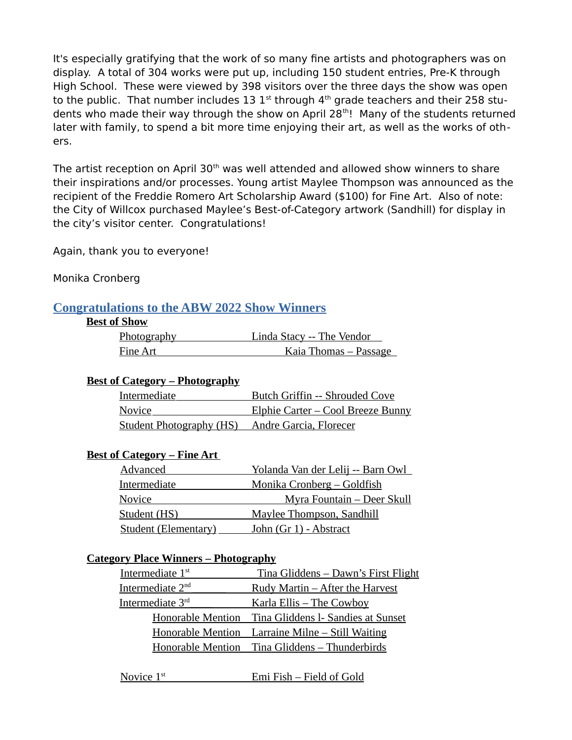It's especially gratifying that the work of so many fine artists and photographers was on display. A total of 304 works were put up, including 150 student entries, Pre-K through High School. These were viewed by 398 visitors over the three days the show was open to the public. That number includes 13  $1<sup>st</sup>$  through  $4<sup>th</sup>$  grade teachers and their 258 students who made their way through the show on April 28<sup>th</sup>! Many of the students returned later with family, to spend a bit more time enjoying their art, as well as the works of others.

The artist reception on April  $30<sup>th</sup>$  was well attended and allowed show winners to share their inspirations and/or processes. Young artist Maylee Thompson was announced as the recipient of the Freddie Romero Art Scholarship Award (\$100) for Fine Art. Also of note: the City of Willcox purchased Maylee's Best-of-Category artwork (Sandhill) for display in the city's visitor center. Congratulations!

Again, thank you to everyone!

Monika Cronberg

### **Congratulations to the ABW 2022 Show Winners**

#### **Best of Show**

| Photography | Linda Stacy -- The Vendor |
|-------------|---------------------------|
| Fine Art    | Kaia Thomas – Passage     |

### **Best of Category – Photography**

| Intermediate                                           | <b>Butch Griffin -- Shrouded Cove</b>     |
|--------------------------------------------------------|-------------------------------------------|
| Novice                                                 | <u> Elphie Carter – Cool Breeze Bunny</u> |
| <b>Student Photography (HS)</b> Andre Garcia, Florecer |                                           |

### **Best of Category – Fine Art**

| Advanced                    | <u> Yolanda Van der Lelij -- Barn Owl</u> |
|-----------------------------|-------------------------------------------|
| Intermediate                | <u> Monika Cronberg – Goldfish</u>        |
| <b>Novice</b>               | <u> Myra Fountain – Deer Skull</u>        |
| Student (HS)                | Maylee Thompson, Sandhill                 |
| <b>Student (Elementary)</b> | John (Gr 1) - Abstract                    |

### **Category Place Winners – Photography**

 $\overline{a}$ 

| <u>Tina Gliddens – Dawn's First Flight</u>           |
|------------------------------------------------------|
| <u>Rudy Martin – After the Harvest</u>               |
| <u>Karla Ellis – The Cowboy</u>                      |
| Honorable Mention Tina Gliddens I- Sandies at Sunset |
| Honorable Mention Larraine Milne - Still Waiting     |
| Honorable Mention Tina Gliddens - Thunderbirds       |
|                                                      |

Novice 1<sup>st</sup>

Emi Fish – Field of Gold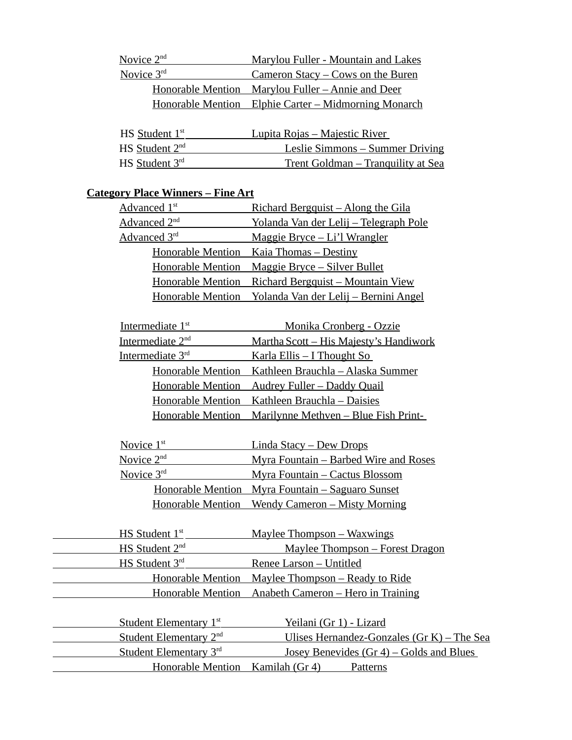| Novice 2 <sup>nd</sup> | Marylou Fuller - Mountain and Lakes                          |
|------------------------|--------------------------------------------------------------|
| Novice $3rd$           | Cameron Stacy – Cows on the Buren                            |
|                        | Honorable Mention Marylou Fuller - Annie and Deer            |
|                        | <u> Honorable Mention Elphie Carter – Midmorning Monarch</u> |

| HS Student 1 <sup>st</sup> | <u> Lupita Rojas – Majestic River</u> |
|----------------------------|---------------------------------------|
| $HS$ Student $2nd$         | Leslie Simmons – Summer Driving       |
| $HS$ Student $3rd$         | Trent Goldman – Tranquility at Sea    |

## **Category Place Winners – Fine Art**

| Advanced 1 <sup>st</sup> | <u> Richard Bergquist – Along the Gila</u>              |
|--------------------------|---------------------------------------------------------|
| Advanced 2 <sup>nd</sup> | Yolanda Van der Lelij - Telegraph Pole                  |
| Advanced 3rd             | Maggie Bryce - Li'l Wrangler                            |
|                          | <u> Honorable Mention Kaia Thomas – Destiny</u>         |
|                          | <u> Honorable Mention Maggie Bryce – Silver Bullet</u>  |
|                          | Honorable Mention Richard Bergquist - Mountain View     |
|                          | Honorable Mention Yolanda Van der Lelij – Bernini Angel |

| Intermediate 1 <sup>st</sup> | Monika Cronberg - Ozzie                                        |
|------------------------------|----------------------------------------------------------------|
| Intermediate 2 <sup>nd</sup> | <u> Martha Scott – His Majesty's Handiwork</u>                 |
| Intermediate 3rd             | <u>Karla Ellis – I Thought So</u>                              |
|                              | Honorable Mention Kathleen Brauchla - Alaska Summer            |
|                              | <u> Honorable Mention Audrey Fuller – Daddy Quail</u>          |
|                              | Honorable Mention Kathleen Brauchla - Daisies                  |
|                              | <u> Honorable Mention Marilynne Methven – Blue Fish Print-</u> |

| Novice $1st$ | <u>Linda Stacy – Dew Drops</u>                           |
|--------------|----------------------------------------------------------|
| Novice $2nd$ | <u> Myra Fountain – Barbed Wire and Roses</u>            |
| Novice $3rd$ | <u> Myra Fountain – Cactus Blossom</u>                   |
|              | <u> Honorable Mention Myra Fountain – Saguaro Sunset</u> |
|              | <u> Honorable Mention Wendy Cameron – Misty Morning</u>  |

| $HS$ Student $1st$ .       | <u> Maylee Thompson – Waxwings</u>                        |
|----------------------------|-----------------------------------------------------------|
| HS Student 2 <sup>nd</sup> | Maylee Thompson - Forest Dragon                           |
| HS Student 3rd             | Renee Larson - Untitled                                   |
|                            | <u> Honorable Mention Maylee Thompson – Ready to Ride</u> |
|                            | Honorable Mention Anabeth Cameron - Hero in Training      |

| Student Elementary 1 <sup>st</sup> | Yeilani (Gr 1) - Lizard                      |
|------------------------------------|----------------------------------------------|
| Student Elementary 2 <sup>nd</sup> | Ulises Hernandez-Gonzales $(Gr K)$ – The Sea |
| Student Elementary $3rd$           | Josey Benevides $(Gr 4)$ – Golds and Blues   |
| <b>Honorable Mention</b>           | Kamilah (Gr 4)<br>Patterns                   |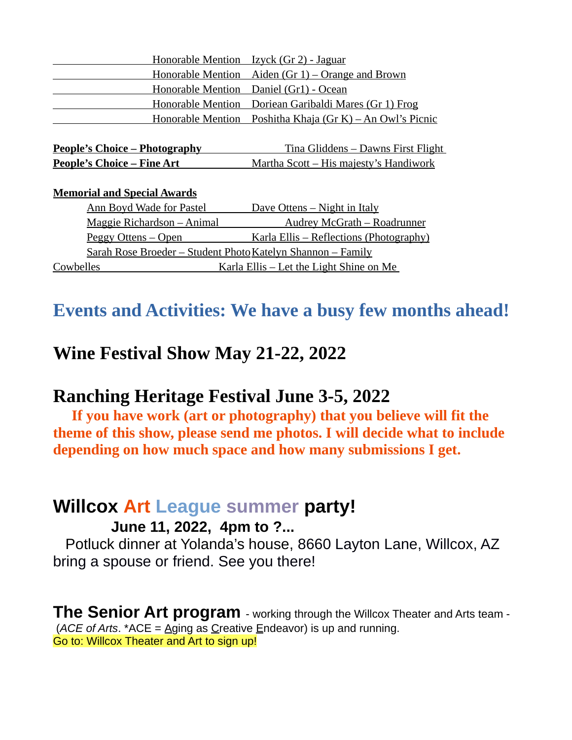| Honorable Mention Izyck (Gr 2) - Jaguar                   |
|-----------------------------------------------------------|
| <u> Honorable Mention Aiden (Gr 1) – Orange and Brown</u> |
| Honorable Mention Daniel (Gr1) - Ocean                    |
| Honorable Mention Doriean Garibaldi Mares (Gr 1) Frog     |
| Honorable Mention Poshitha Khaja (Gr K) – An Owl's Picnic |
|                                                           |

| People's Choice - Photography      | <u>Tina Gliddens – Dawns First Flight</u>      |
|------------------------------------|------------------------------------------------|
| <u> People's Choice – Fine Art</u> | <u> Martha Scott – His majesty's Handiwork</u> |

### **Memorial and Special Awards**

| <b>Ann Boyd Wade for Pastel</b>                                     | <u>Dave Ottens – Night in Italy</u>             |
|---------------------------------------------------------------------|-------------------------------------------------|
| Maggie Richardson - Animal                                          | <b>Audrey McGrath - Roadrunner</b>              |
| <u> Peggy Ottens – Open</u>                                         | <u> Karla Ellis – Reflections (Photography)</u> |
| <u> Sarah Rose Broeder – Student Photo Katelyn Shannon – Family</u> |                                                 |
| Cowbelles                                                           | <u>Karla Ellis – Let the Light Shine on Me</u>  |

# **Events and Activities: We have a busy few months ahead!**

## **Wine Festival Show May 21-22, 2022**

## **Ranching Heritage Festival June 3-5, 2022**

 **If you have work (art or photography) that you believe will fit the theme of this show, please send me photos. I will decide what to include depending on how much space and how many submissions I get.** 

## **Willcox Art League summer party!**

### **June 11, 2022, 4pm to ?...**

 Potluck dinner at Yolanda's house, 8660 Layton Lane, Willcox, AZ bring a spouse or friend. See you there!

**The Senior Art program** - working through the Willcox Theater and Arts team - (*ACE of Arts*. \*ACE = Aging as Creative Endeavor) is up and running. Go to: Willcox Theater and Art to sign up!